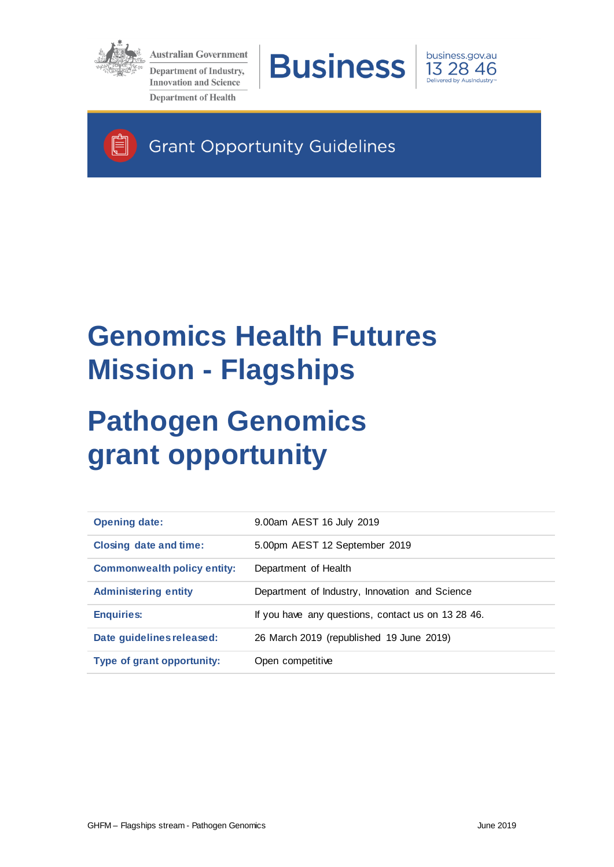

É

**Australian Government Department of Industry, Innovation and Science Department of Health** 





**Grant Opportunity Guidelines** 

# **Genomics Health Futures Mission - Flagships**

# **Pathogen Genomics grant opportunity**

| <b>Opening date:</b>               | 9.00am AEST 16 July 2019                           |
|------------------------------------|----------------------------------------------------|
| <b>Closing date and time:</b>      | 5.00pm AEST 12 September 2019                      |
| <b>Commonwealth policy entity:</b> | Department of Health                               |
| <b>Administering entity</b>        | Department of Industry, Innovation and Science     |
| <b>Enquiries:</b>                  | If you have any questions, contact us on 13 28 46. |
| Date guidelines released:          | 26 March 2019 (republished 19 June 2019)           |
| Type of grant opportunity:         | Open competitive                                   |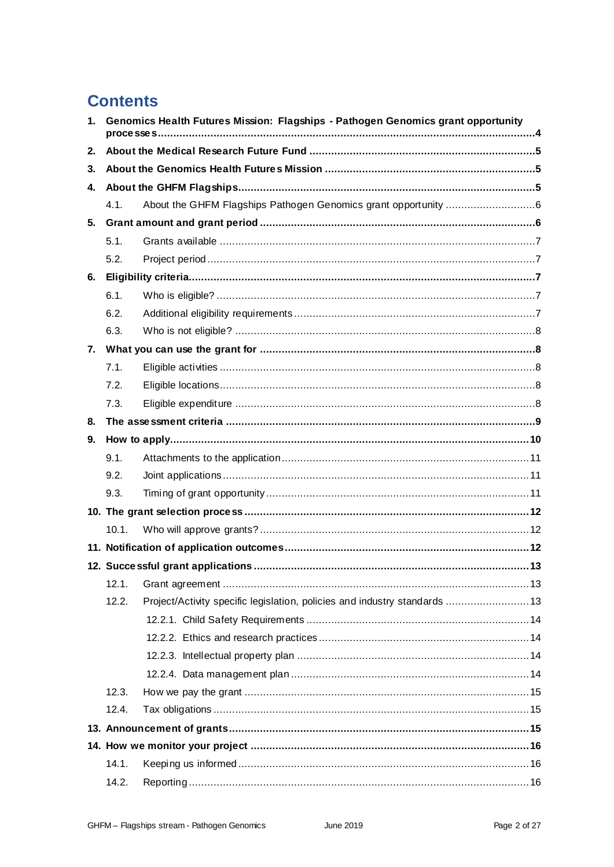# **Contents**

| $\mathbf{1}$ . | Genomics Health Futures Mission: Flagships - Pathogen Genomics grant opportunity |                                                                            |  |
|----------------|----------------------------------------------------------------------------------|----------------------------------------------------------------------------|--|
| 2.             |                                                                                  |                                                                            |  |
| 3.             |                                                                                  |                                                                            |  |
| 4.             |                                                                                  |                                                                            |  |
|                | 4.1.                                                                             |                                                                            |  |
| 5.             |                                                                                  |                                                                            |  |
|                | 5.1.                                                                             |                                                                            |  |
|                | 5.2.                                                                             |                                                                            |  |
| 6.             |                                                                                  |                                                                            |  |
|                | 6.1.                                                                             |                                                                            |  |
|                | 6.2.                                                                             |                                                                            |  |
|                | 6.3.                                                                             |                                                                            |  |
| 7.             |                                                                                  |                                                                            |  |
|                | 7.1.                                                                             |                                                                            |  |
|                | 7.2.                                                                             |                                                                            |  |
|                | 7.3.                                                                             |                                                                            |  |
| 8.             |                                                                                  |                                                                            |  |
| 9.             |                                                                                  |                                                                            |  |
|                | 9.1.                                                                             |                                                                            |  |
|                | 9.2.                                                                             |                                                                            |  |
|                | 9.3.                                                                             |                                                                            |  |
|                |                                                                                  |                                                                            |  |
|                | 10.1.                                                                            |                                                                            |  |
|                |                                                                                  |                                                                            |  |
|                |                                                                                  |                                                                            |  |
|                | 12.1.                                                                            |                                                                            |  |
|                | 12.2.                                                                            | Project/Activity specific legislation, policies and industry standards  13 |  |
|                |                                                                                  |                                                                            |  |
|                |                                                                                  |                                                                            |  |
|                |                                                                                  |                                                                            |  |
|                |                                                                                  |                                                                            |  |
|                | 12.3.                                                                            |                                                                            |  |
|                | 12.4.                                                                            |                                                                            |  |
|                |                                                                                  |                                                                            |  |
|                |                                                                                  |                                                                            |  |
|                | 14.1.                                                                            |                                                                            |  |
|                | 14.2.                                                                            |                                                                            |  |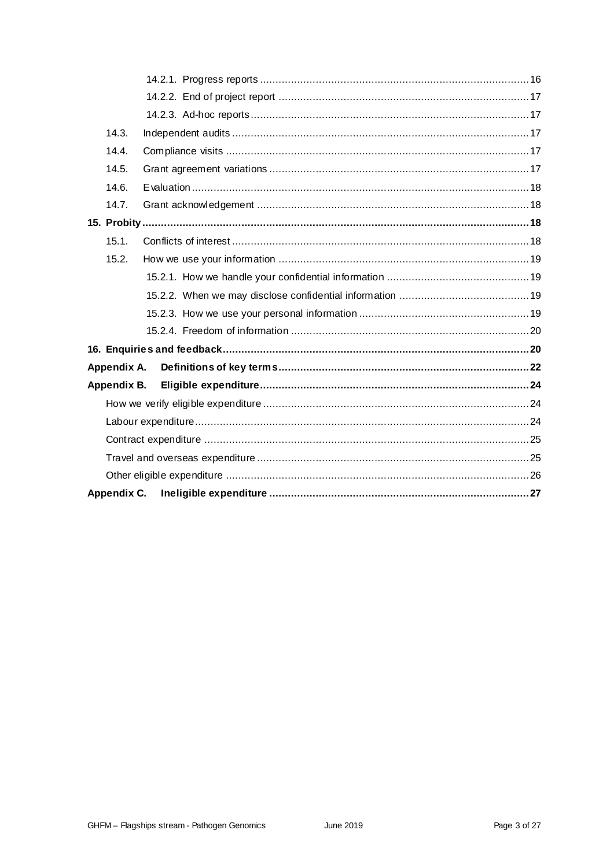| 14.3.       |  |  |
|-------------|--|--|
| 14.4.       |  |  |
| 14.5.       |  |  |
| 14.6.       |  |  |
| 14.7.       |  |  |
|             |  |  |
| 15.1.       |  |  |
| 15.2.       |  |  |
|             |  |  |
|             |  |  |
|             |  |  |
|             |  |  |
|             |  |  |
| Appendix A. |  |  |
| Appendix B. |  |  |
|             |  |  |
|             |  |  |
|             |  |  |
|             |  |  |
|             |  |  |
| Appendix C. |  |  |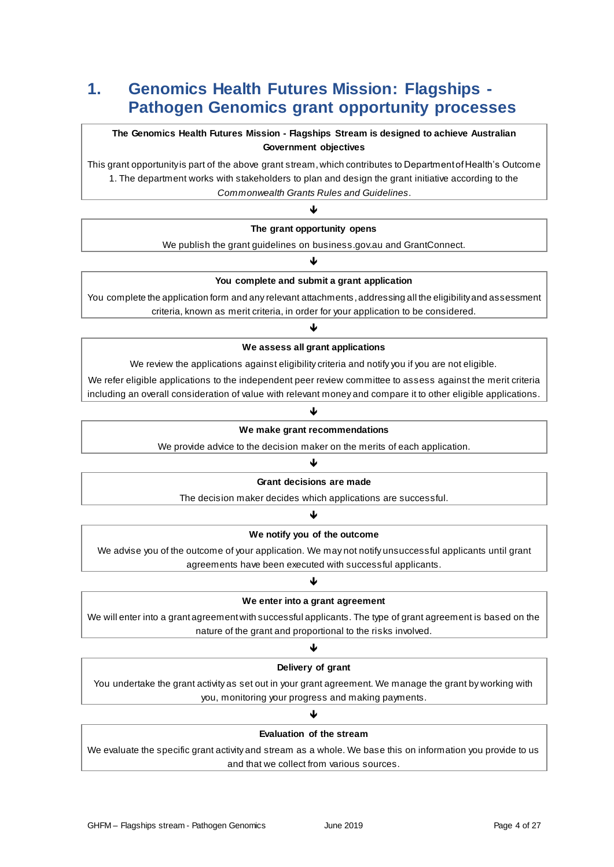# **1. Genomics Health Futures Mission: Flagships - Pathogen Genomics grant opportunity processes**

#### **The Genomics Health Futures Mission - Flagships Stream is designed to achieve Australian Government objectives**

This grant opportunity is part of the above grant stream, which contributes to Department of Health's Outcome 1. The department works with stakeholders to plan and design the grant initiative according to the *Commonwealth Grants Rules and Guidelines*.

# J

**The grant opportunity opens**

We publish the grant guidelines on business.gov.au and GrantConnect. J

#### **You complete and submit a grant application**

You complete the application form and any relevant attachments, addressing all the eligibility and assessment criteria, known as merit criteria, in order for your application to be considered.

# 业

#### **We assess all grant applications**

We review the applications against eligibility criteria and notify you if you are not eligible.

We refer eligible applications to the independent peer review committee to assess against the merit criteria including an overall consideration of value with relevant money and compare it to other eligible applications.

#### J

#### **We make grant recommendations**

We provide advice to the decision maker on the merits of each application.

### J

**Grant decisions are made**

The decision maker decides which applications are successful.

### ↓

#### **We notify you of the outcome**

We advise you of the outcome of your application. We may not notify unsuccessful applicants until grant agreements have been executed with successful applicants.

#### Ψ

#### **We enter into a grant agreement**

We will enter into a grant agreement with successful applicants. The type of grant agreement is based on the nature of the grant and proportional to the risks involved.

# J **Delivery of grant**

You undertake the grant activity as set out in your grant agreement. We manage the grant by working with you, monitoring your progress and making payments.

# J **Evaluation of the stream**

We evaluate the specific grant activity and stream as a whole. We base this on information you provide to us and that we collect from various sources.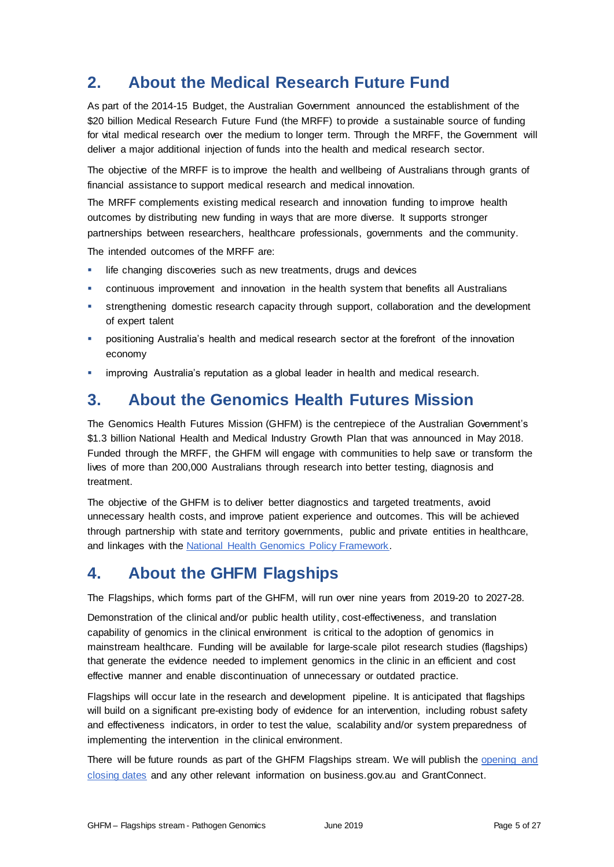# **2. About the Medical Research Future Fund**

As part of the 2014-15 Budget, the Australian Government announced the establishment of the \$20 billion Medical Research Future Fund (the MRFF) to provide a sustainable source of funding for vital medical research over the medium to longer term. Through the MRFF, the Government will deliver a major additional injection of funds into the health and medical research sector.

The objective of the MRFF is to improve the health and wellbeing of Australians through grants of financial assistance to support medical research and medical innovation.

The MRFF complements existing medical research and innovation funding to improve health outcomes by distributing new funding in ways that are more diverse. It supports stronger partnerships between researchers, healthcare professionals, governments and the community.

The intended outcomes of the MRFF are:

- life changing discoveries such as new treatments, drugs and devices
- continuous improvement and innovation in the health system that benefits all Australians
- strengthening domestic research capacity through support, collaboration and the development of expert talent
- positioning Australia's health and medical research sector at the forefront of the innovation economy
- improving Australia's reputation as a global leader in health and medical research.

# **3. About the Genomics Health Futures Mission**

The Genomics Health Futures Mission (GHFM) is the centrepiece of the Australian Government's \$1.3 billion National Health and Medical Industry Growth Plan that was announced in May 2018. Funded through the MRFF, the GHFM will engage with communities to help save or transform the lives of more than 200,000 Australians through research into better testing, diagnosis and treatment.

The objective of the GHFM is to deliver better diagnostics and targeted treatments, avoid unnecessary health costs, and improve patient experience and outcomes. This will be achieved through partnership with state and territory governments, public and private entities in healthcare, and linkages with the [National Health Genomics Policy Framework.](http://www.health.gov.au/internet/main/publishing.nsf/Content/national-health-genomics-policy-framework-2018-2021)

# **4. About the GHFM Flagships**

The Flagships, which forms part of the GHFM, will run over nine years from 2019-20 to 2027-28.

Demonstration of the clinical and/or public health utility, cost-effectiveness, and translation capability of genomics in the clinical environment is critical to the adoption of genomics in mainstream healthcare. Funding will be available for large-scale pilot research studies (flagships) that generate the evidence needed to implement genomics in the clinic in an efficient and cost effective manner and enable discontinuation of unnecessary or outdated practice.

Flagships will occur late in the research and development pipeline. It is anticipated that flagships will build on a significant pre-existing body of evidence for an intervention, including robust safety and effectiveness indicators, in order to test the value, scalability and/or system preparedness of implementing the intervention in the clinical environment.

There will be future rounds as part of the GHFM Flagships stream. We will publish the opening and [closing dates](http://www.business.gov.au/assistance/genomics-health-futures-mission-pathogen-genomics) and any other relevant information on business.gov.au and GrantConnect.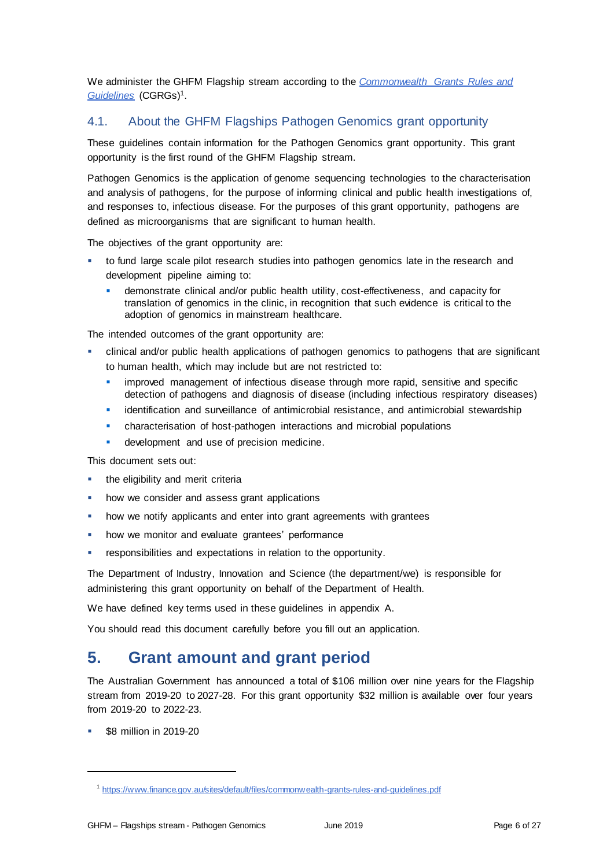We administer the GHFM Flagship stream according to the *[Commonwealth Grants Rules and](https://www.finance.gov.au/sites/default/files/commonwealth-grants-rules-and-guidelines.pdf)  [Guidelines](https://www.finance.gov.au/sites/default/files/commonwealth-grants-rules-and-guidelines.pdf)* (CGRGs)<sup>1</sup> .

# <span id="page-5-0"></span>4.1. About the GHFM Flagships Pathogen Genomics grant opportunity

These guidelines contain information for the Pathogen Genomics grant opportunity. This grant opportunity is the first round of the GHFM Flagship stream.

Pathogen Genomics is the application of genome sequencing technologies to the characterisation and analysis of pathogens, for the purpose of informing clinical and public health investigations of, and responses to, infectious disease. For the purposes of this grant opportunity, pathogens are defined as microorganisms that are significant to human health.

The objectives of the grant opportunity are:

- to fund large scale pilot research studies into pathogen genomics late in the research and development pipeline aiming to:
	- demonstrate clinical and/or public health utility, cost-effectiveness, and capacity for translation of genomics in the clinic, in recognition that such evidence is critical to the adoption of genomics in mainstream healthcare.

The intended outcomes of the grant opportunity are:

- clinical and/or public health applications of pathogen genomics to pathogens that are significant to human health, which may include but are not restricted to:
	- improved management of infectious disease through more rapid, sensitive and specific detection of pathogens and diagnosis of disease (including infectious respiratory diseases)
	- **EXECTE identification and surveillance of antimicrobial resistance, and antimicrobial stewardship**
	- characterisation of host-pathogen interactions and microbial populations
	- development and use of precision medicine.

This document sets out:

- the eligibility and merit criteria
- how we consider and assess grant applications
- how we notify applicants and enter into grant agreements with grantees
- how we monitor and evaluate grantees' performance
- **•** responsibilities and expectations in relation to the opportunity.

The Department of Industry, Innovation and Science (the department/we) is responsible for administering this grant opportunity on behalf of the Department of Health.

We have defined key terms used in these guidelines in appendix A.

You should read this document carefully before you fill out an application.

# **5. Grant amount and grant period**

The Australian Government has announced a total of \$106 million over nine years for the Flagship stream from 2019-20 to 2027-28. For this grant opportunity \$32 million is available over four years from 2019-20 to 2022-23.

\$8 million in 2019-20

<sup>&</sup>lt;sup>1</sup> <https://www.finance.gov.au/sites/default/files/commonwealth-grants-rules-and-guidelines.pdf>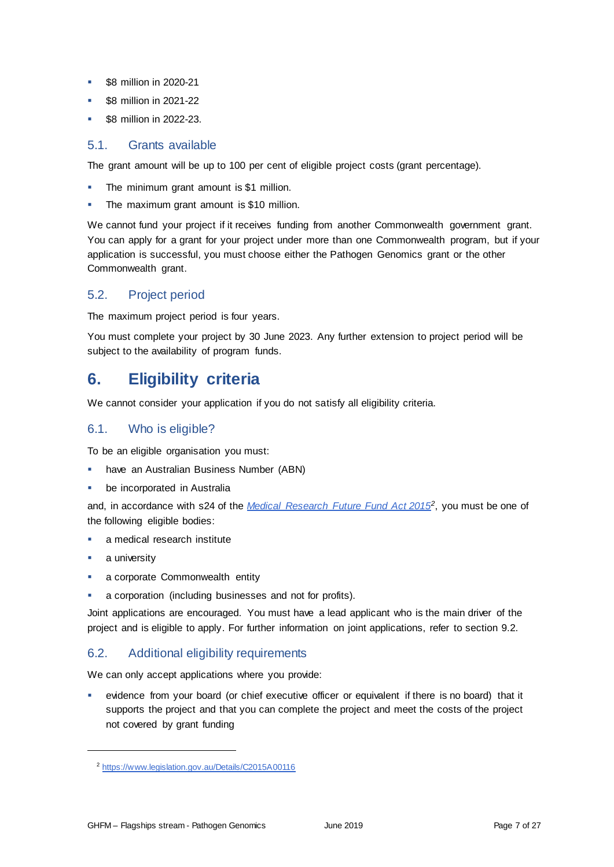- **\$8 million in 2020-21**
- \$8 million in 2021-22
- \$8 million in 2022-23.

# 5.1. Grants available

The grant amount will be up to 100 per cent of eligible project costs (grant percentage).

- The minimum grant amount is \$1 million.
- **The maximum grant amount is \$10 million.**

We cannot fund your project if it receives funding from another Commonwealth government grant. You can apply for a grant for your project under more than one Commonwealth program, but if your application is successful, you must choose either the Pathogen Genomics grant or the other Commonwealth grant.

# 5.2. Project period

The maximum project period is four years.

You must complete your project by 30 June 2023. Any further extension to project period will be subject to the availability of program funds.

# **6. Eligibility criteria**

We cannot consider your application if you do not satisfy all eligibility criteria.

# <span id="page-6-0"></span>6.1. Who is eligible?

To be an eligible organisation you must:

- have an Australian Business Number (ABN)
- be incorporated in Australia

and, in accordance with s24 of the *[Medical Research Future Fund Act 2015](https://www.legislation.gov.au/Details/C2015A00116)<sup>2</sup>* , you must be one of the following eligible bodies:

- **a** medical research institute
- a university

- a corporate Commonwealth entity
- a corporation (including businesses and not for profits).

Joint applications are encouraged. You must have a lead applicant who is the main driver of the project and is eligible to apply. For further information on joint applications, refer to section [9.2.](#page-10-0)

# 6.2. Additional eligibility requirements

We can only accept applications where you provide:

 evidence from your board (or chief executive officer or equivalent if there is no board) that it supports the project and that you can complete the project and meet the costs of the project not covered by grant funding

<sup>&</sup>lt;sup>2</sup> <https://www.legislation.gov.au/Details/C2015A00116>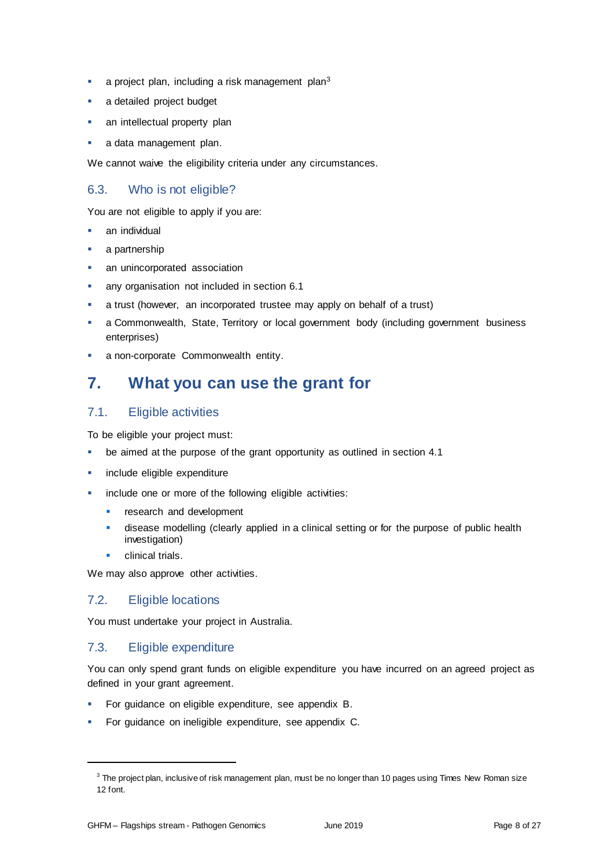- $\blacksquare$  a project plan, including a risk management plan<sup>3</sup>
- a detailed project budget
- an intellectual property plan
- a data management plan.

We cannot waive the eligibility criteria under any circumstances.

# 6.3. Who is not eligible?

You are not eligible to apply if you are:

- an individual
- a partnership
- an unincorporated association
- any organisation not included in section [6.1](#page-6-0)
- a trust (however, an incorporated trustee may apply on behalf of a trust)
- a Commonwealth, State, Territory or local government body (including government business enterprises)
- a non-corporate Commonwealth entity.

# **7. What you can use the grant for**

# <span id="page-7-0"></span>7.1. Eligible activities

To be eligible your project must:

- be aimed at the purpose of the grant opportunity as outlined in section [4.1](#page-5-0)
- include eligible expenditure
- include one or more of the following eligible activities:
	- research and development
	- **disease modelling (clearly applied in a clinical setting or for the purpose of public health** investigation)
	- clinical trials.

We may also approve other activities.

# 7.2. Eligible locations

You must undertake your project in Australia.

# <span id="page-7-1"></span>7.3. Eligible expenditure

You can only spend grant funds on eligible expenditure you have incurred on an agreed project as defined in your grant agreement.

- For guidance on eligible expenditure, see appendix B.
- For guidance on ineligible expenditure, see appendix C.

<sup>&</sup>lt;sup>3</sup> The project plan, inclusive of risk management plan, must be no longer than 10 pages using Times New Roman size 12 font.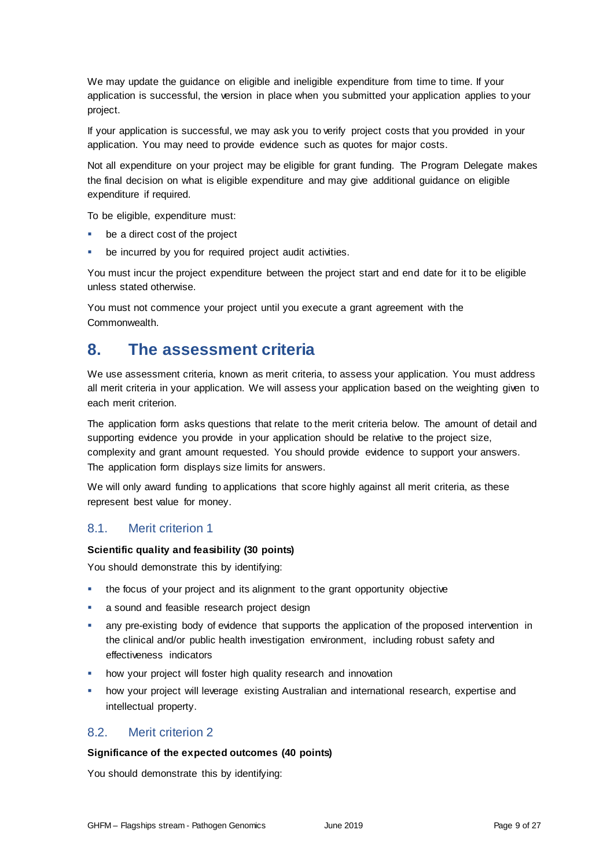We may update the guidance on eligible and ineligible expenditure from time to time. If your application is successful, the version in place when you submitted your application applies to your project.

If your application is successful, we may ask you to verify project costs that you provided in your application. You may need to provide evidence such as quotes for major costs.

Not all expenditure on your project may be eligible for grant funding. The Program Delegate makes the final decision on what is eligible expenditure and may give additional guidance on eligible expenditure if required.

To be eligible, expenditure must:

- be a direct cost of the project
- be incurred by you for required project audit activities.

You must incur the project expenditure between the project start and end date for it to be eligible unless stated otherwise.

You must not commence your project until you execute a grant agreement with the Commonwealth.

# **8. The assessment criteria**

We use assessment criteria, known as merit criteria, to assess your application. You must address all merit criteria in your application. We will assess your application based on the weighting given to each merit criterion.

The application form asks questions that relate to the merit criteria below. The amount of detail and supporting evidence you provide in your application should be relative to the project size, complexity and grant amount requested. You should provide evidence to support your answers. The application form displays size limits for answers.

We will only award funding to applications that score highly against all merit criteria, as these represent best value for money.

# 8.1. Merit criterion 1

#### **Scientific quality and feasibility (30 points)**

You should demonstrate this by identifying:

- the focus of your project and its alignment to the grant opportunity objective
- a sound and feasible research project design
- any pre-existing body of evidence that supports the application of the proposed intervention in the clinical and/or public health investigation environment, including robust safety and effectiveness indicators
- how your project will foster high quality research and innovation
- how your project will leverage existing Australian and international research, expertise and intellectual property.

# 8.2. Merit criterion 2

#### **Significance of the expected outcomes (40 points)**

You should demonstrate this by identifying: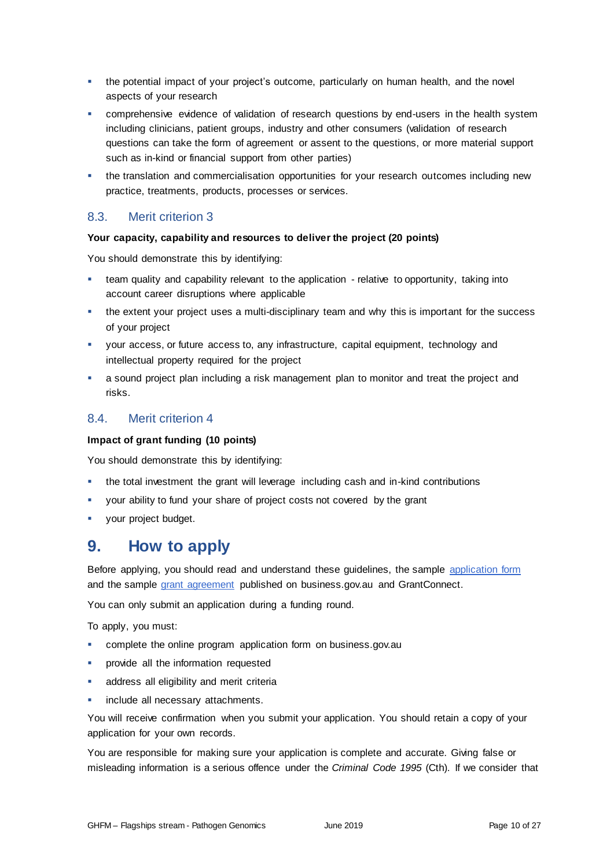- the potential impact of your project's outcome, particularly on human health, and the novel aspects of your research
- comprehensive evidence of validation of research questions by end-users in the health system including clinicians, patient groups, industry and other consumers (validation of research questions can take the form of agreement or assent to the questions, or more material support such as in-kind or financial support from other parties)
- the translation and commercialisation opportunities for your research outcomes including new practice, treatments, products, processes or services.

# 8.3. Merit criterion 3

#### **Your capacity, capability and resources to deliver the project (20 points)**

You should demonstrate this by identifying:

- team quality and capability relevant to the application relative to opportunity, taking into account career disruptions where applicable
- the extent your project uses a multi-disciplinary team and why this is important for the success of your project
- your access, or future access to, any infrastructure, capital equipment, technology and intellectual property required for the project
- a sound project plan including a risk management plan to monitor and treat the project and risks.

# 8.4. Merit criterion 4

#### **Impact of grant funding (10 points)**

You should demonstrate this by identifying:

- the total investment the grant will leverage including cash and in-kind contributions
- your ability to fund your share of project costs not covered by the grant
- **•** your project budget.

# **9. How to apply**

Before applying, you should read and understand these guidelines, the sample [application form](http://www.business.gov.au/assistance/genomics-health-futures-mission-pathogen-genomics#key-documents) and the sample [grant agreement](http://www.business.gov.au/assistance/genomics-health-futures-mission-pathogen-genomics#key-documents) published on business.gov.au and GrantConnect.

You can only submit an application during a funding round.

To apply, you must:

- complete the online [program application form](http://www.business.gov.au/INSERT%20URL) on business.gov.au
- provide all the information requested
- address all eligibility and merit criteria
- include all necessary attachments.

You will receive confirmation when you submit your application. You should retain a copy of your application for your own records.

You are responsible for making sure your application is complete and accurate. Giving false or misleading information is a serious offence under the *Criminal Code 1995* (Cth). If we consider that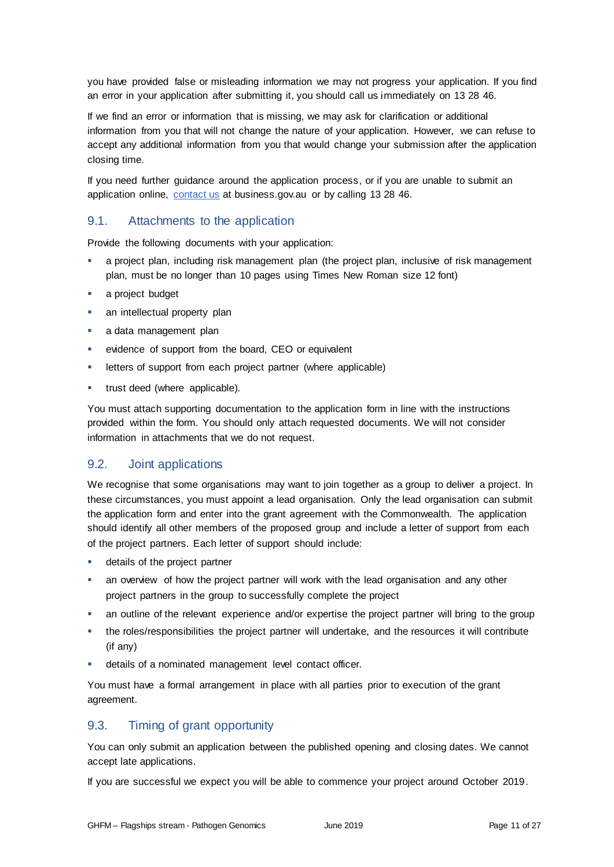you have provided false or misleading information we may not progress your application. If you find an error in your application after submitting it, you should call us immediately on 13 28 46.

If we find an error or information that is missing, we may ask for clarification or additional information from you that will not change the nature of your application. However, we can refuse to accept any additional information from you that would change your submission after the application closing time.

If you need further guidance around the application process, or if you are unable to submit an application online, [contact us](https://www.business.gov.au/contact-us) at business.gov.au or by calling 13 28 46.

# 9.1. Attachments to the application

Provide the following documents with your application:

- a project plan, including risk management plan (the project plan, inclusive of risk management plan, must be no longer than 10 pages using Times New Roman size 12 font)
- a project budget
- an intellectual property plan
- a data management plan
- evidence of support from the board, CEO or equivalent
- letters of support from each project partner (where applicable)
- **trust deed (where applicable).**

You must attach supporting documentation to the application form in line with the instructions provided within the form. You should only attach requested documents. We will not consider information in attachments that we do not request.

#### <span id="page-10-0"></span>9.2. Joint applications

We recognise that some organisations may want to join together as a group to deliver a project. In these circumstances, you must appoint a lead organisation. Only the lead organisation can submit the application form and enter into the grant agreement with the Commonwealth. The application should identify all other members of the proposed group and include a letter of support from each of the project partners. Each letter of support should include:

- **details of the project partner**
- an overview of how the project partner will work with the lead organisation and any other project partners in the group to successfully complete the project
- an outline of the relevant experience and/or expertise the project partner will bring to the group
- the roles/responsibilities the project partner will undertake, and the resources it will contribute (if any)
- details of a nominated management level contact officer.

You must have a formal arrangement in place with all parties prior to execution of the grant agreement.

# 9.3. Timing of grant opportunity

You can only submit an application between the published opening and closing dates. We cannot accept late applications.

If you are successful we expect you will be able to commence your project around October 2019.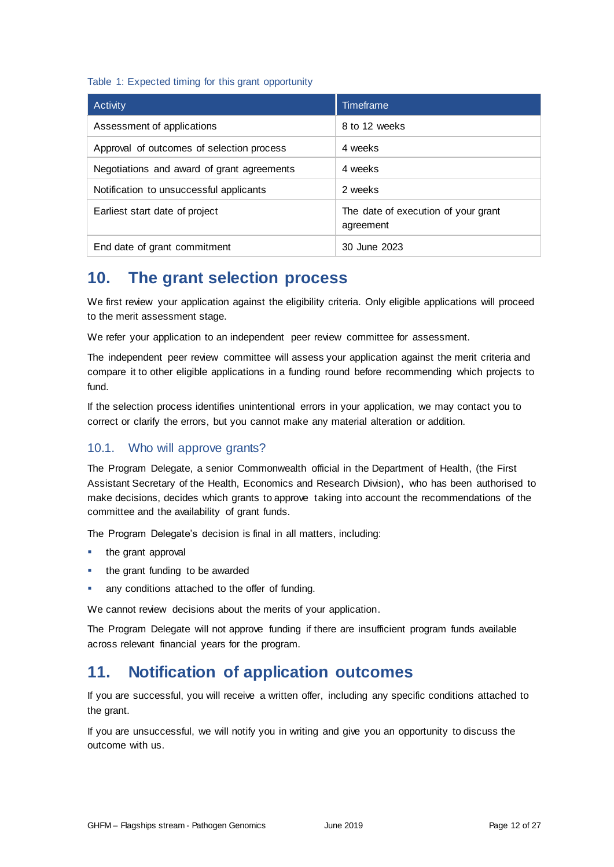#### Table 1: Expected timing for this grant opportunity

| Activity                                   | Timeframe                                        |
|--------------------------------------------|--------------------------------------------------|
| Assessment of applications                 | 8 to 12 weeks                                    |
| Approval of outcomes of selection process  | 4 weeks                                          |
| Negotiations and award of grant agreements | 4 weeks                                          |
| Notification to unsuccessful applicants    | 2 weeks                                          |
| Earliest start date of project             | The date of execution of your grant<br>agreement |
| End date of grant commitment               | 30 June 2023                                     |

# **10. The grant selection process**

We first review your application against the eligibility criteria. Only eligible applications will proceed to the merit assessment stage.

We refer your application to an independent peer review committee for assessment.

The independent peer review committee will assess your application against the merit criteria and compare it to other eligible applications in a funding round before recommending which projects to fund.

If the selection process identifies unintentional errors in your application, we may contact you to correct or clarify the errors, but you cannot make any material alteration or addition.

# 10.1. Who will approve grants?

The Program Delegate, a senior Commonwealth official in the Department of Health, (the First Assistant Secretary of the Health, Economics and Research Division), who has been authorised to make decisions, decides which grants to approve taking into account the recommendations of the committee and the availability of grant funds.

The Program Delegate's decision is final in all matters, including:

- the grant approval
- the grant funding to be awarded
- any conditions attached to the offer of funding.

We cannot review decisions about the merits of your application.

The Program Delegate will not approve funding if there are insufficient program funds available across relevant financial years for the program.

# **11. Notification of application outcomes**

If you are successful, you will receive a written offer, including any specific conditions attached to the grant.

If you are unsuccessful, we will notify you in writing and give you an opportunity to discuss the outcome with us.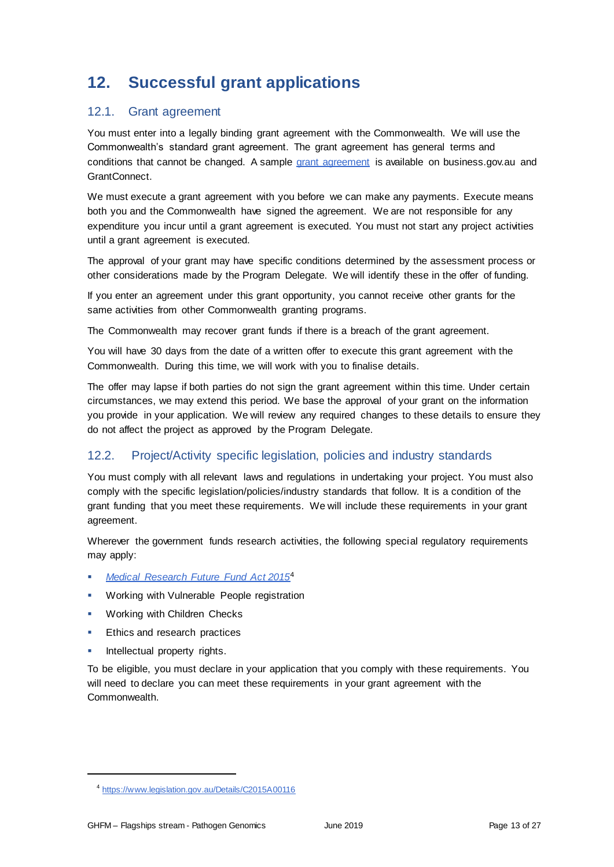# **12. Successful grant applications**

# 12.1. Grant agreement

You must enter into a legally binding grant agreement with the Commonwealth. We will use the Commonwealth's standard grant agreement. The grant agreement has general terms and conditions that cannot be changed. A sample grant agreement is available on business.gov.au and GrantConnect.

We must execute a grant agreement with you before we can make any payments. Execute means both you and the Commonwealth have signed the agreement. We are not responsible for any expenditure you incur until a grant agreement is executed. You must not start any project activities until a grant agreement is executed.

The approval of your grant may have specific conditions determined by the assessment process or other considerations made by the Program Delegate. We will identify these in the offer of funding.

If you enter an agreement under this grant opportunity, you cannot receive other grants for the same activities from other Commonwealth granting programs.

The Commonwealth may recover grant funds if there is a breach of the grant agreement.

You will have 30 days from the date of a written offer to execute this grant agreement with the Commonwealth. During this time, we will work with you to finalise details.

The offer may lapse if both parties do not sign the grant agreement within this time. Under certain circumstances, we may extend this period. We base the approval of your grant on the information you provide in your application. We will review any required changes to these details to ensure they do not affect the project as approved by the Program Delegate.

# 12.2. Project/Activity specific legislation, policies and industry standards

You must comply with all relevant laws and regulations in undertaking your project. You must also comply with the specific legislation/policies/industry standards that follow. It is a condition of the grant funding that you meet these requirements. We will include these requirements in your grant agreement.

Wherever the government funds research activities, the following special regulatory requirements may apply:

- *[Medical Research Future Fund Act 2015](https://www.legislation.gov.au/Details/C2015A00116)*<sup>4</sup>
- Working with Vulnerable People registration
- Working with Children Checks
- Ethics and research practices
- Intellectual property rights.

To be eligible, you must declare in your application that you comply with these requirements. You will need to declare you can meet these requirements in your grant agreement with the Commonwealth.

<sup>4</sup> <https://www.legislation.gov.au/Details/C2015A00116>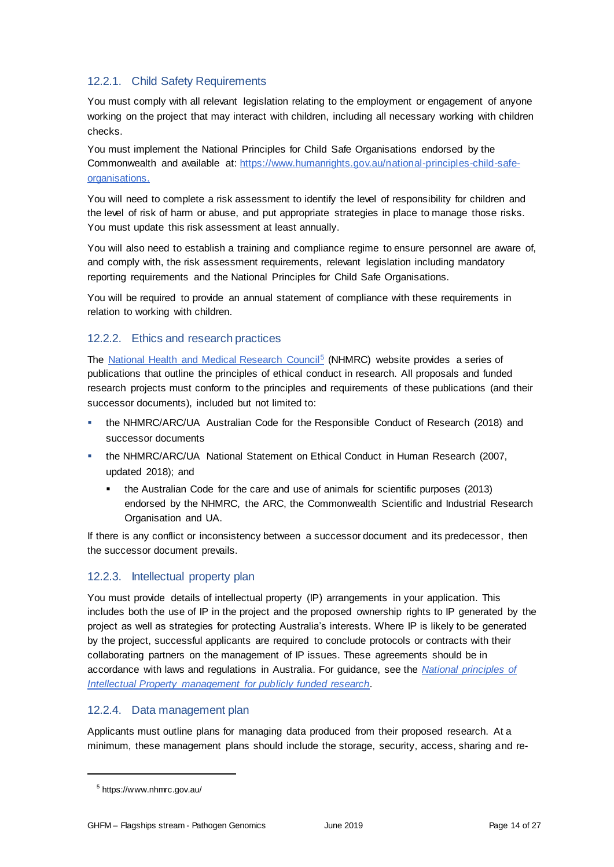# 12.2.1. Child Safety Requirements

You must comply with all relevant legislation relating to the employment or engagement of anyone working on the project that may interact with children, including all necessary working with children checks.

You must implement the National Principles for Child Safe Organisations endorsed by the Commonwealth and available at: [https://www.humanrights.gov.au/national-principles-child-safe](https://www.humanrights.gov.au/national-principles-child-safe-organisations)[organisations.](https://www.humanrights.gov.au/national-principles-child-safe-organisations)

You will need to complete a risk assessment to identify the level of responsibility for children and the level of risk of harm or abuse, and put appropriate strategies in place to manage those risks. You must update this risk assessment at least annually.

You will also need to establish a training and compliance regime to ensure personnel are aware of, and comply with, the risk assessment requirements, relevant legislation including mandatory reporting requirements and the National Principles for Child Safe Organisations.

You will be required to provide an annual statement of compliance with these requirements in relation to working with children.

# 12.2.2. Ethics and research practices

The [National Health and Medical Research Council](https://www.nhmrc.gov.au/?)<sup>5</sup> (NHMRC) website provides a series of publications that outline the principles of ethical conduct in research. All proposals and funded research projects must conform to the principles and requirements of these publications (and their successor documents), included but not limited to:

- the NHMRC/ARC/UA Australian Code for the Responsible Conduct of Research (2018) and successor documents
- the NHMRC/ARC/UA National Statement on Ethical Conduct in Human Research (2007, updated 2018); and
	- the Australian Code for the care and use of animals for scientific purposes (2013) endorsed by the NHMRC, the ARC, the Commonwealth Scientific and Industrial Research Organisation and UA.

If there is any conflict or inconsistency between a successor document and its predecessor, then the successor document prevails.

# 12.2.3. Intellectual property plan

You must provide details of intellectual property (IP) arrangements in your application. This includes both the use of IP in the project and the proposed ownership rights to IP generated by the project as well as strategies for protecting Australia's interests. Where IP is likely to be generated by the project, successful applicants are required to conclude protocols or contracts with their collaborating partners on the management of IP issues. These agreements should be in accordance with laws and regulations in Australia. For guidance, see the *[National principles of](https://nhmrc.gov.au/about-us/publications/national-principles-ip-management-publicly-funded-research)  [Intellectual Property management for publicly funded research.](https://nhmrc.gov.au/about-us/publications/national-principles-ip-management-publicly-funded-research)* 

# 12.2.4. Data management plan

Applicants must outline plans for managing data produced from their proposed research. At a minimum, these management plans should include the storage, security, access, sharing and re-

<sup>&</sup>lt;sup>5</sup> https://www.nhmrc.gov.au/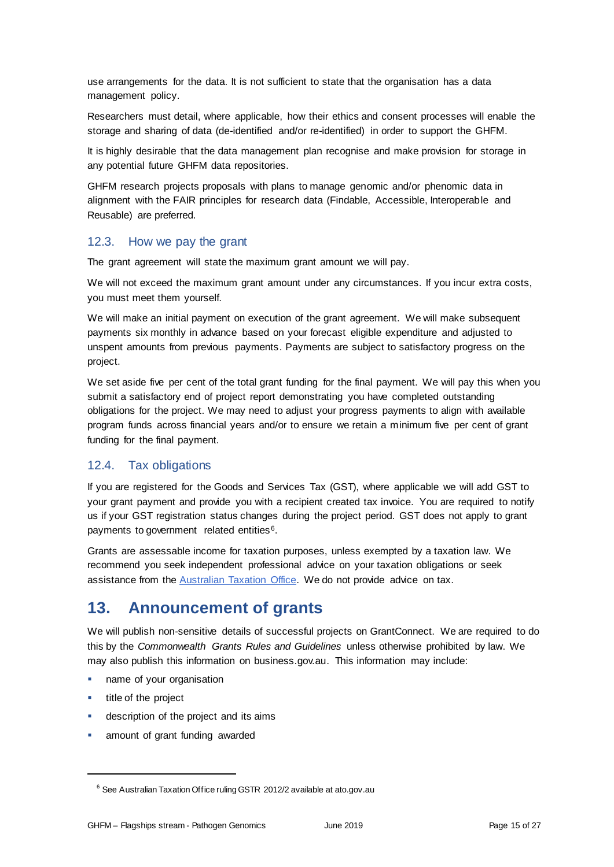use arrangements for the data. It is not sufficient to state that the organisation has a data management policy.

Researchers must detail, where applicable, how their ethics and consent processes will enable the storage and sharing of data (de-identified and/or re-identified) in order to support the GHFM.

It is highly desirable that the data management plan recognise and make provision for storage in any potential future GHFM data repositories.

GHFM research projects proposals with plans to manage genomic and/or phenomic data in alignment with the FAIR principles for research data (Findable, Accessible, Interoperable and Reusable) are preferred.

# 12.3. How we pay the grant

The grant agreement will state the maximum grant amount we will pay.

We will not exceed the maximum grant amount under any circumstances. If you incur extra costs, you must meet them yourself.

We will make an initial payment on execution of the grant agreement. We will make subsequent payments six monthly in advance based on your forecast eligible expenditure and adjusted to unspent amounts from previous payments. Payments are subject to satisfactory progress on the project.

We set aside five per cent of the total grant funding for the final payment. We will pay this when you submit a satisfactory end of project report demonstrating you have completed outstanding obligations for the project. We may need to adjust your progress payments to align with available program funds across financial years and/or to ensure we retain a minimum five per cent of grant funding for the final payment.

# 12.4. Tax obligations

If you are registered for the Goods and Services Tax (GST), where applicable we will add GST to your grant payment and provide you with a recipient created tax invoice. You are required to notify us if your GST registration status changes during the project period. GST does not apply to grant payments to government related entities<sup>6</sup>.

Grants are assessable income for taxation purposes, unless exempted by a taxation law. We recommend you seek independent professional advice on your taxation obligations or seek assistance from the **Australian Taxation Office**. We do not provide advice on tax.

# **13. Announcement of grants**

We will publish non-sensitive details of successful projects on GrantConnect. We are required to do this by the *Commonwealth Grants Rules and Guidelines* unless otherwise prohibited by law. We may also publish this information on business.gov.au. This information may include:

- name of your organisation
- title of the project

- description of the project and its aims
- amount of grant funding awarded

<sup>&</sup>lt;sup>6</sup> See Australian Taxation Office ruling GSTR 2012/2 available at ato.gov.au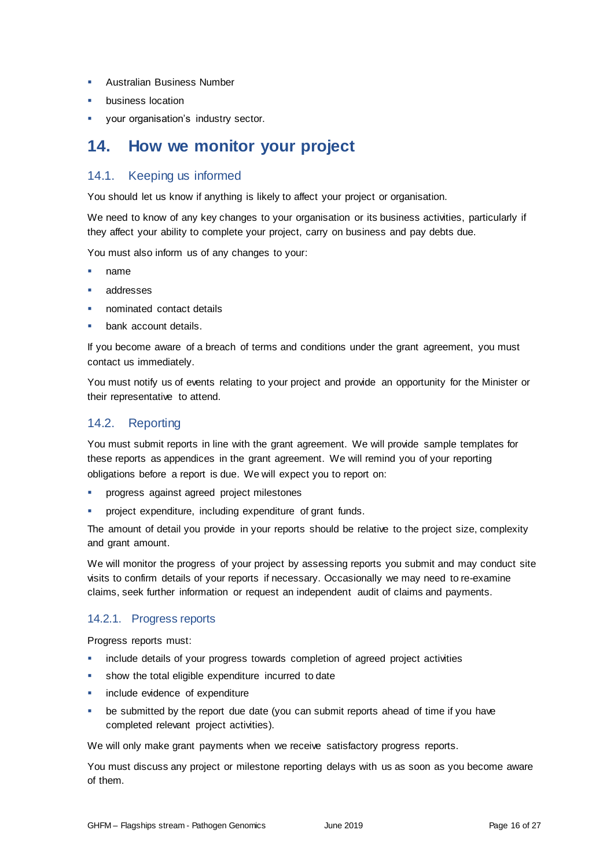- **Australian Business Number**
- business location
- your organisation's industry sector.

# **14. How we monitor your project**

# 14.1. Keeping us informed

You should let us know if anything is likely to affect your project or organisation.

We need to know of any key changes to your organisation or its business activities, particularly if they affect your ability to complete your project, carry on business and pay debts due.

You must also inform us of any changes to your:

- name
- addresses
- nominated contact details
- bank account details.

If you become aware of a breach of terms and conditions under the grant agreement, you must contact us immediately.

You must notify us of events relating to your project and provide an opportunity for the Minister or their representative to attend.

# 14.2. Reporting

You must submit reports in line with the [grant agreement.](file://///prod.protected.ind/User/user03/LLau2/insert%20link%20here) We will provide sample templates for these reports as appendices in the grant agreement. We will remind you of your reporting obligations before a report is due. We will expect you to report on:

- **•** progress against agreed project milestones
- project expenditure, including expenditure of grant funds.

The amount of detail you provide in your reports should be relative to the project size, complexity and grant amount.

We will monitor the progress of your project by assessing reports you submit and may conduct site visits to confirm details of your reports if necessary. Occasionally we may need to re-examine claims, seek further information or request an independent audit of claims and payments.

# 14.2.1. Progress reports

Progress reports must:

- include details of your progress towards completion of agreed project activities
- show the total eligible expenditure incurred to date
- include evidence of expenditure
- be submitted by the report due date (you can submit reports ahead of time if you have completed relevant project activities).

We will only make grant payments when we receive satisfactory progress reports.

You must discuss any project or milestone reporting delays with us as soon as you become aware of them.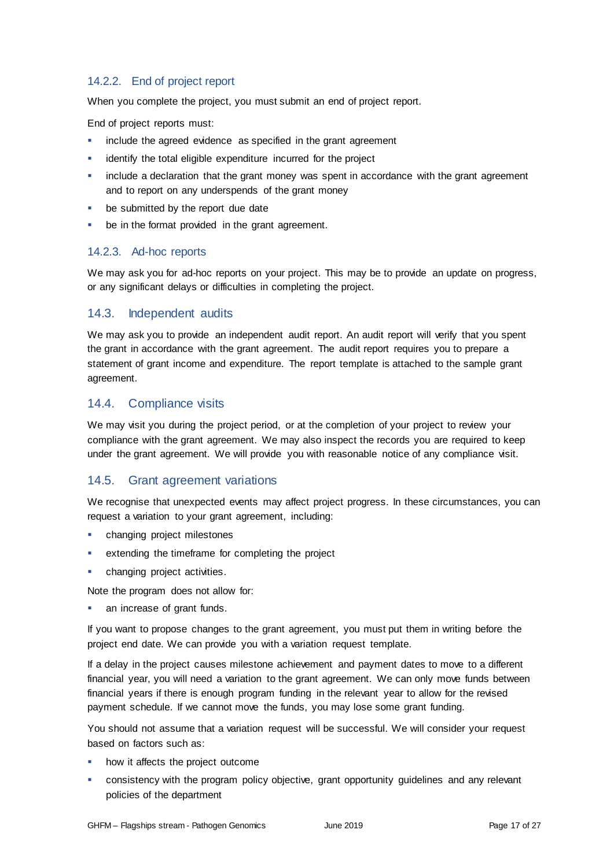# 14.2.2. End of project report

When you complete the project, you must submit an end of project report.

End of project reports must:

- **EXEDENT** include the agreed evidence as specified in the grant agreement
- identify the total eligible expenditure incurred for the project
- include a declaration that the grant money was spent in accordance with the grant agreement and to report on any underspends of the grant money
- be submitted by the report due date
- be in the format provided in the grant agreement.

#### 14.2.3. Ad-hoc reports

We may ask you for ad-hoc reports on your project. This may be to provide an update on progress, or any significant delays or difficulties in completing the project.

### 14.3. Independent audits

We may ask you to provide an independent audit report. An audit report will verify that you spent the grant in accordance with the grant agreement. The audit report requires you to prepare a statement of grant income and expenditure. The report template is attached to the sample grant agreement.

### 14.4. Compliance visits

We may visit you during the project period, or at the completion of your project to review your compliance with the grant agreement. We may also inspect the records you are required to keep under the grant agreement. We will provide you with reasonable notice of any compliance visit.

# 14.5. Grant agreement variations

We recognise that unexpected events may affect project progress. In these circumstances, you can request a variation to your grant agreement, including:

- changing project milestones
- extending the timeframe for completing the project
- changing project activities.

Note the program does not allow for:

an increase of grant funds.

If you want to propose changes to the grant agreement, you must put them in writing before the project end date. We can provide you with a variation request template.

If a delay in the project causes milestone achievement and payment dates to move to a different financial year, you will need a variation to the grant agreement. We can only move funds between financial years if there is enough program funding in the relevant year to allow for the revised payment schedule. If we cannot move the funds, you may lose some grant funding.

You should not assume that a variation request will be successful. We will consider your request based on factors such as:

- how it affects the project outcome
- consistency with the program policy objective, grant opportunity guidelines and any relevant policies of the department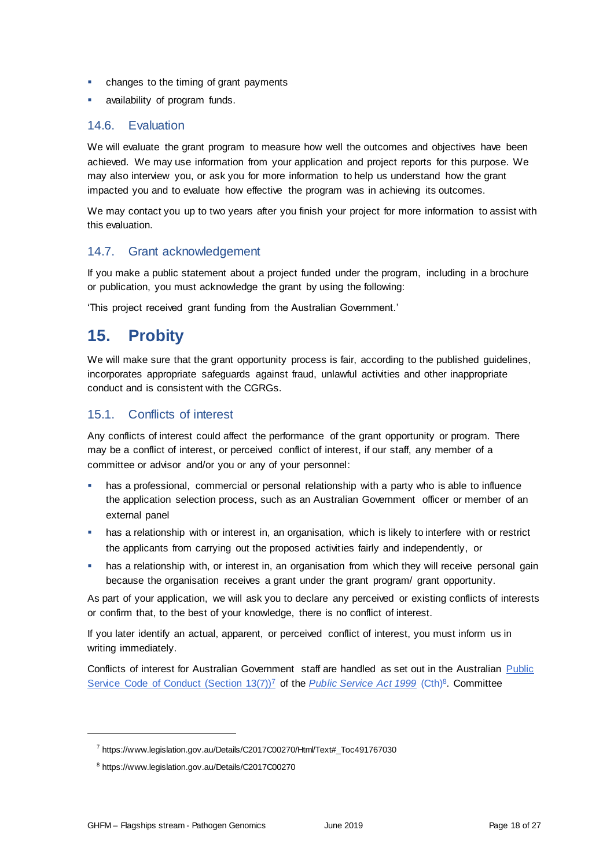- **•** changes to the timing of grant payments
- availability of program funds.

### 14.6. Evaluation

We will evaluate the grant program to measure how well the outcomes and objectives have been achieved. We may use information from your application and project reports for this purpose. We may also interview you, or ask you for more information to help us understand how the grant impacted you and to evaluate how effective the program was in achieving its outcomes.

We may contact you up to two years after you finish your project for more information to assist with this evaluation.

# 14.7. Grant acknowledgement

If you make a public statement about a project funded under the program, including in a brochure or publication, you must acknowledge the grant by using the following:

'This project received grant funding from the Australian Government.'

# **15. Probity**

We will make sure that the grant opportunity process is fair, according to the published guidelines, incorporates appropriate safeguards against fraud, unlawful activities and other inappropriate conduct and is consistent with the CGRGs.

# 15.1. Conflicts of interest

Any conflicts of interest could affect the performance of the grant opportunity or program. There may be a [conflict of interest,](http://www.apsc.gov.au/publications-and-media/current-publications/aps-values-and-code-of-conduct-in-practice/conflict-of-interest) or perceived conflict of interest, if our staff, any member of a committee or advisor and/or you or any of your personnel:

- has a professional, commercial or personal relationship with a party who is able to influence the application selection process, such as an Australian Government officer or member of an external panel
- **•** has a relationship with or interest in, an organisation, which is likely to interfere with or restrict the applicants from carrying out the proposed activities fairly and independently, or
- has a relationship with, or interest in, an organisation from which they will receive personal gain because the organisation receives a grant under the grant program/ grant opportunity.

As part of your application, we will ask you to declare any perceived or existing conflicts of interests or confirm that, to the best of your knowledge, there is no conflict of interest.

If you later identify an actual, apparent, or perceived conflict of interest, you must inform us in writing immediately.

Conflicts of interest for Australian Government staff are handled as set out in the Australian Public [Service Code of Conduct \(Section 13\(7\)\)](https://www.legislation.gov.au/Details/C2017C00270/Html/Text#_Toc491767030)<sup>7</sup> of the *[Public Service Act 1999](https://www.legislation.gov.au/Details/C2017C00270)* (Cth)<sup>8</sup>. Committee

<sup>&</sup>lt;sup>7</sup> https://www.legislation.gov.au/Details/C2017C00270/Html/Text#\_Toc491767030

<sup>8</sup> https://www.legislation.gov.au/Details/C2017C00270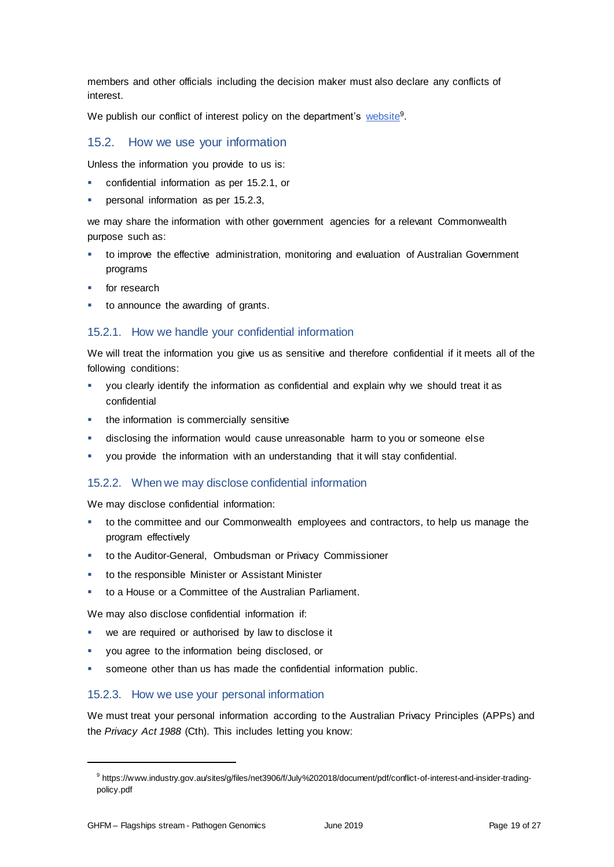members and other officials including the decision maker must also declare any conflicts of interest.

We publish our conflict of interest policy on the department's <u>website</u><sup>9</sup>.

### 15.2. How we use your information

Unless the information you provide to us is:

- confidential information as per [15.2.1,](#page-18-0) or
- personal information as per [15.2.3,](#page-18-1)

we may share the information with other government agencies for a relevant Commonwealth purpose such as:

- to improve the effective administration, monitoring and evaluation of Australian Government programs
- for research
- to announce the awarding of grants.

#### <span id="page-18-0"></span>15.2.1. How we handle your confidential information

We will treat the information you give us as sensitive and therefore confidential if it meets all of the following conditions:

- you clearly identify the information as confidential and explain why we should treat it as confidential
- the information is commercially sensitive
- disclosing the information would cause unreasonable harm to you or someone else
- you provide the information with an understanding that it will stay confidential.

#### 15.2.2. When we may disclose confidential information

We may disclose confidential information:

- to the committee and our Commonwealth employees and contractors, to help us manage the program effectively
- to the Auditor-General, Ombudsman or Privacy Commissioner
- to the responsible Minister or Assistant Minister
- to a House or a Committee of the Australian Parliament.

We may also disclose confidential information if:

- we are required or authorised by law to disclose it
- you agree to the information being disclosed, or
- someone other than us has made the confidential information public.

#### <span id="page-18-1"></span>15.2.3. How we use your personal information

We must treat your personal information according to the Australian Privacy Principles (APPs) and the *Privacy Act 1988* (Cth). This includes letting you know:

<sup>9</sup> https://www.industry.gov.au/sites/g/files/net3906/f/July%202018/document/pdf/conflict-of-interest-and-insider-tradingpolicy.pdf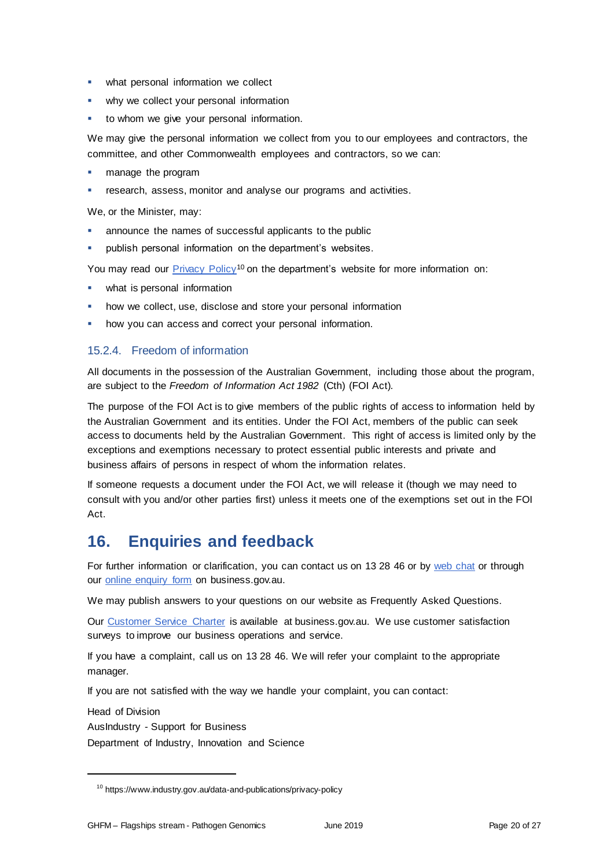- **•** what personal information we collect
- why we collect your personal information
- to whom we give your personal information.

We may give the personal information we collect from you to our employees and contractors, the committee, and other Commonwealth employees and contractors, so we can:

- manage the program
- research, assess, monitor and analyse our programs and activities.

We, or the Minister, may:

- announce the names of successful applicants to the public
- publish personal information on the department's websites.

You may read our [Privacy Policy](https://www.industry.gov.au/data-and-publications/privacy-policy)<sup>10</sup> on the department's website for more information on:

- what is personal information
- how we collect, use, disclose and store your personal information
- how you can access and correct your personal information.

### 15.2.4. Freedom of information

All documents in the possession of the Australian Government, including those about the program, are subject to the *Freedom of Information Act 1982* (Cth) (FOI Act)*.*

The purpose of the FOI Act is to give members of the public rights of access to information held by the Australian Government and its entities. Under the FOI Act, members of the public can seek access to documents held by the Australian Government. This right of access is limited only by the exceptions and exemptions necessary to protect essential public interests and private and business affairs of persons in respect of whom the information relates.

If someone requests a document under the FOI Act, we will release it (though we may need to consult with you and/or other parties first) unless it meets one of the exemptions set out in the FOI Act.

# **16. Enquiries and feedback**

For further information or clarification, you can contact us on 13 28 46 or by [web chat](https://www.business.gov.au/contact-us) or through our **online enquiry form** on business.gov.au.

We may publish answers to your questions on our website as Frequently Asked Questions.

Our [Customer Service Charter](https://www.business.gov.au/about/customer-service-charter) is available at [business.gov.au.](http://www.business.gov.au/) We use customer satisfaction surveys to improve our business operations and service.

If you have a complaint, call us on 13 28 46. We will refer your complaint to the appropriate manager.

If you are not satisfied with the way we handle your complaint, you can contact:

Head of Division

AusIndustry - Support for Business

Department of Industry, Innovation and Science

<sup>10</sup> https://www.industry.gov.au/data-and-publications/privacy-policy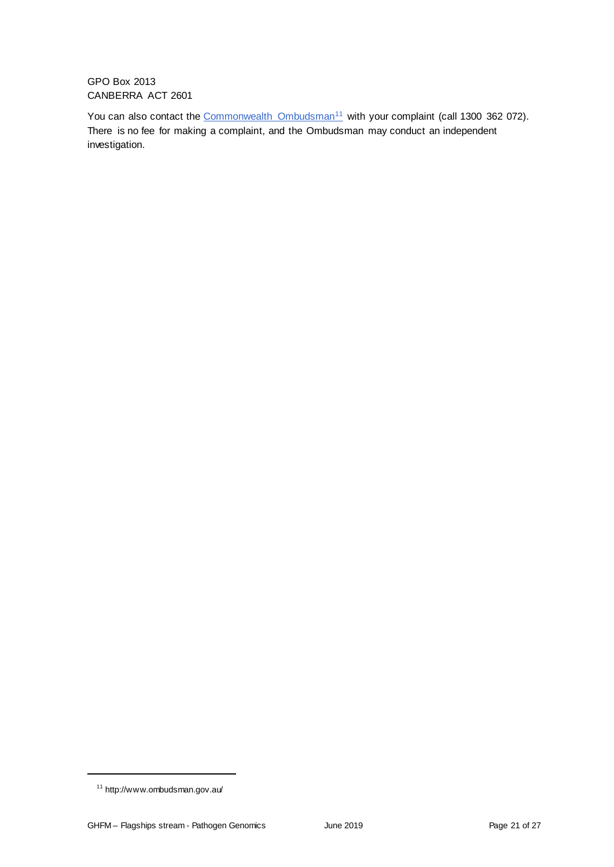GPO Box 2013 CANBERRA ACT 2601

You can also contact the [Commonwealth Ombudsman](http://www.ombudsman.gov.au/)<sup>11</sup> with your complaint (call 1300 362 072). There is no fee for making a complaint, and the Ombudsman may conduct an independent investigation.

<sup>11</sup> http://www.ombudsman.gov.au/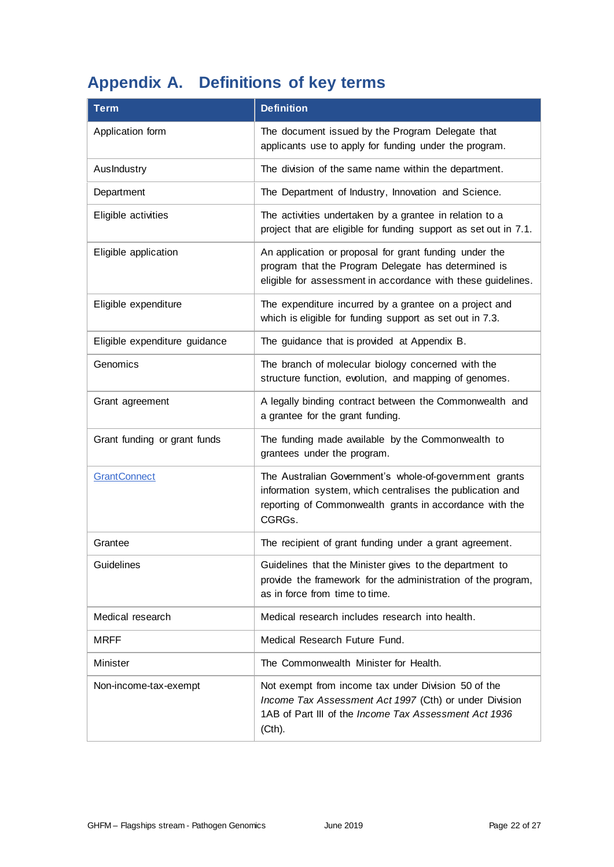# **Appendix A. Definitions of key terms**

| <b>Term</b>                   | <b>Definition</b>                                                                                                                                                                        |
|-------------------------------|------------------------------------------------------------------------------------------------------------------------------------------------------------------------------------------|
| Application form              | The document issued by the Program Delegate that<br>applicants use to apply for funding under the program.                                                                               |
| AusIndustry                   | The division of the same name within the department.                                                                                                                                     |
| Department                    | The Department of Industry, Innovation and Science.                                                                                                                                      |
| Eligible activities           | The activities undertaken by a grantee in relation to a<br>project that are eligible for funding support as set out in 7.1.                                                              |
| Eligible application          | An application or proposal for grant funding under the<br>program that the Program Delegate has determined is<br>eligible for assessment in accordance with these guidelines.            |
| Eligible expenditure          | The expenditure incurred by a grantee on a project and<br>which is eligible for funding support as set out in 7.3.                                                                       |
| Eligible expenditure guidance | The guidance that is provided at Appendix B.                                                                                                                                             |
| Genomics                      | The branch of molecular biology concerned with the<br>structure function, evolution, and mapping of genomes.                                                                             |
| Grant agreement               | A legally binding contract between the Commonwealth and<br>a grantee for the grant funding.                                                                                              |
| Grant funding or grant funds  | The funding made available by the Commonwealth to<br>grantees under the program.                                                                                                         |
| <b>GrantConnect</b>           | The Australian Government's whole-of-government grants<br>information system, which centralises the publication and<br>reporting of Commonwealth grants in accordance with the<br>CGRGs. |
| Grantee                       | The recipient of grant funding under a grant agreement.                                                                                                                                  |
| Guidelines                    | Guidelines that the Minister gives to the department to<br>provide the framework for the administration of the program,<br>as in force from time to time.                                |
| Medical research              | Medical research includes research into health.                                                                                                                                          |
| <b>MRFF</b>                   | Medical Research Future Fund.                                                                                                                                                            |
| Minister                      | The Commonwealth Minister for Health.                                                                                                                                                    |
| Non-income-tax-exempt         | Not exempt from income tax under Division 50 of the<br>Income Tax Assessment Act 1997 (Cth) or under Division<br>1AB of Part III of the Income Tax Assessment Act 1936<br>(Cth).         |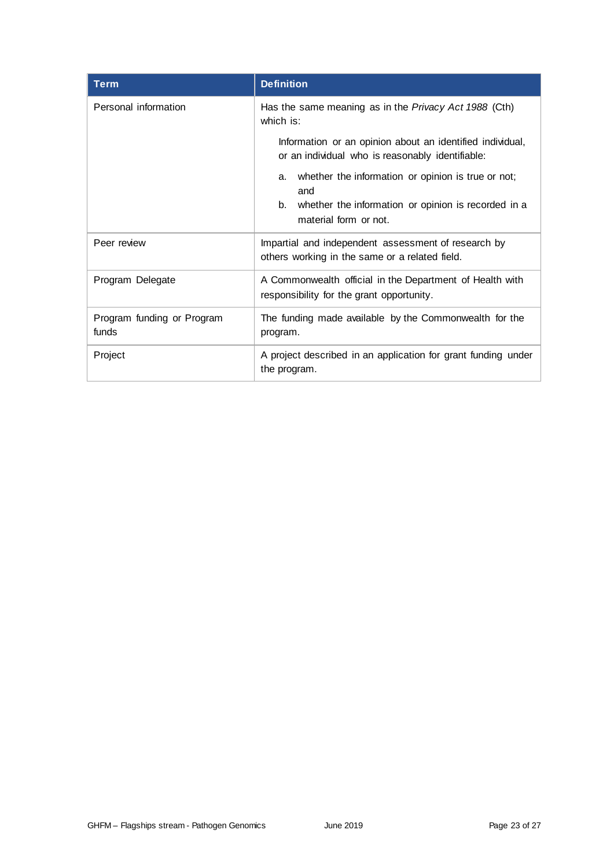| <b>Term</b>                         | <b>Definition</b>                                                                                                                                                           |  |
|-------------------------------------|-----------------------------------------------------------------------------------------------------------------------------------------------------------------------------|--|
| Personal information                | Has the same meaning as in the Privacy Act 1988 (Cth)<br>which is:                                                                                                          |  |
|                                     | Information or an opinion about an identified individual,<br>or an individual who is reasonably identifiable:                                                               |  |
|                                     | whether the information or opinion is true or not;<br>a.<br>and                                                                                                             |  |
|                                     | whether the information or opinion is recorded in a<br>b.<br>material form or not.                                                                                          |  |
| Peer review                         | Impartial and independent assessment of research by<br>others working in the same or a related field.                                                                       |  |
| Program Delegate                    | A Commonwealth official in the Department of Health with<br>responsibility for the grant opportunity.<br>The funding made available by the Commonwealth for the<br>program. |  |
| Program funding or Program<br>funds |                                                                                                                                                                             |  |
| Project                             | A project described in an application for grant funding under<br>the program.                                                                                               |  |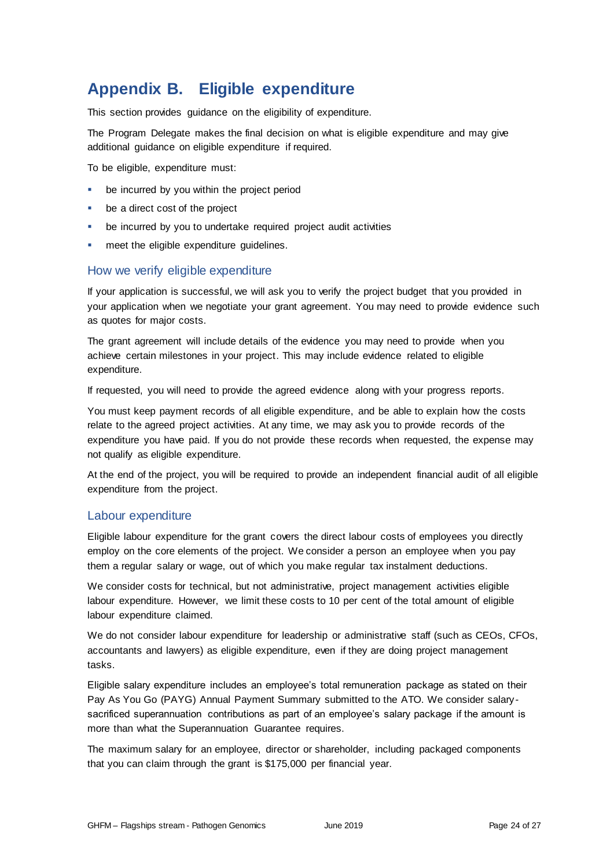# **Appendix B. Eligible expenditure**

This section provides guidance on the eligibility of expenditure.

The Program Delegate makes the final decision on what is eligible expenditure and may give additional guidance on eligible expenditure if required.

To be eligible, expenditure must:

- be incurred by you within the project period
- be a direct cost of the project
- be incurred by you to undertake required project audit activities
- meet the eligible expenditure guidelines.

### How we verify eligible expenditure

If your application is successful, we will ask you to verify the project budget that you provided in your application when we negotiate your grant agreement. You may need to provide evidence such as quotes for major costs.

The grant agreement will include details of the evidence you may need to provide when you achieve certain milestones in your project. This may include evidence related to eligible expenditure.

If requested, you will need to provide the agreed evidence along with your progress reports.

You must keep payment records of all eligible expenditure, and be able to explain how the costs relate to the agreed project activities. At any time, we may ask you to provide records of the expenditure you have paid. If you do not provide these records when requested, the expense may not qualify as eligible expenditure.

At the end of the project, you will be required to provide an independent financial audit of all eligible expenditure from the project.

#### Labour expenditure

Eligible labour expenditure for the grant covers the direct labour costs of employees you directly employ on the core elements of the project. We consider a person an employee when you pay them a regular salary or wage, out of which you make regular tax instalment deductions.

We consider costs for technical, but not administrative, project management activities eligible labour expenditure. However, we limit these costs to 10 per cent of the total amount of eligible labour expenditure claimed.

We do not consider labour expenditure for leadership or administrative staff (such as CEOs, CFOs, accountants and lawyers) as eligible expenditure, even if they are doing project management tasks.

Eligible salary expenditure includes an employee's total remuneration package as stated on their Pay As You Go (PAYG) Annual Payment Summary submitted to the ATO. We consider salarysacrificed superannuation contributions as part of an employee's salary package if the amount is more than what the Superannuation Guarantee requires.

The maximum salary for an employee, director or shareholder, including packaged components that you can claim through the grant is \$175,000 per financial year.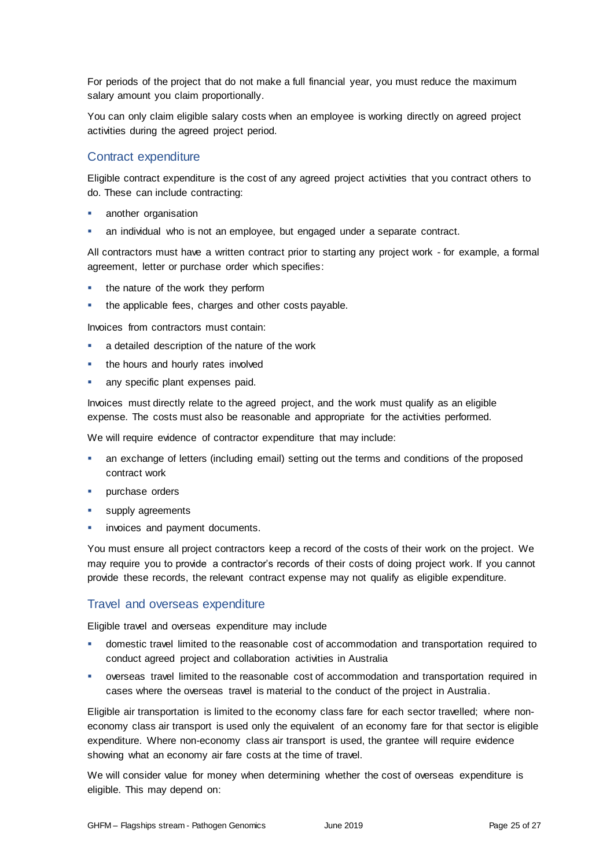For periods of the project that do not make a full financial year, you must reduce the maximum salary amount you claim proportionally.

You can only claim eligible salary costs when an employee is working directly on agreed project activities during the agreed project period.

### Contract expenditure

Eligible contract expenditure is the cost of any agreed project activities that you contract others to do. These can include contracting:

- another organisation
- an individual who is not an employee, but engaged under a separate contract.

All contractors must have a written contract prior to starting any project work - for example, a formal agreement, letter or purchase order which specifies:

- the nature of the work they perform
- the applicable fees, charges and other costs payable.

Invoices from contractors must contain:

- a detailed description of the nature of the work
- the hours and hourly rates involved
- any specific plant expenses paid.

Invoices must directly relate to the agreed project, and the work must qualify as an eligible expense. The costs must also be reasonable and appropriate for the activities performed.

We will require evidence of contractor expenditure that may include:

- an exchange of letters (including email) setting out the terms and conditions of the proposed contract work
- **•** purchase orders
- supply agreements
- invoices and payment documents.

You must ensure all project contractors keep a record of the costs of their work on the project. We may require you to provide a contractor's records of their costs of doing project work. If you cannot provide these records, the relevant contract expense may not qualify as eligible expenditure.

# Travel and overseas expenditure

Eligible travel and overseas expenditure may include

- domestic travel limited to the reasonable cost of accommodation and transportation required to conduct agreed project and collaboration activities in Australia
- overseas travel limited to the reasonable cost of accommodation and transportation required in cases where the overseas travel is material to the conduct of the project in Australia.

Eligible air transportation is limited to the economy class fare for each sector travelled; where noneconomy class air transport is used only the equivalent of an economy fare for that sector is eligible expenditure. Where non-economy class air transport is used, the grantee will require evidence showing what an economy air fare costs at the time of travel.

We will consider value for money when determining whether the cost of overseas expenditure is eligible. This may depend on: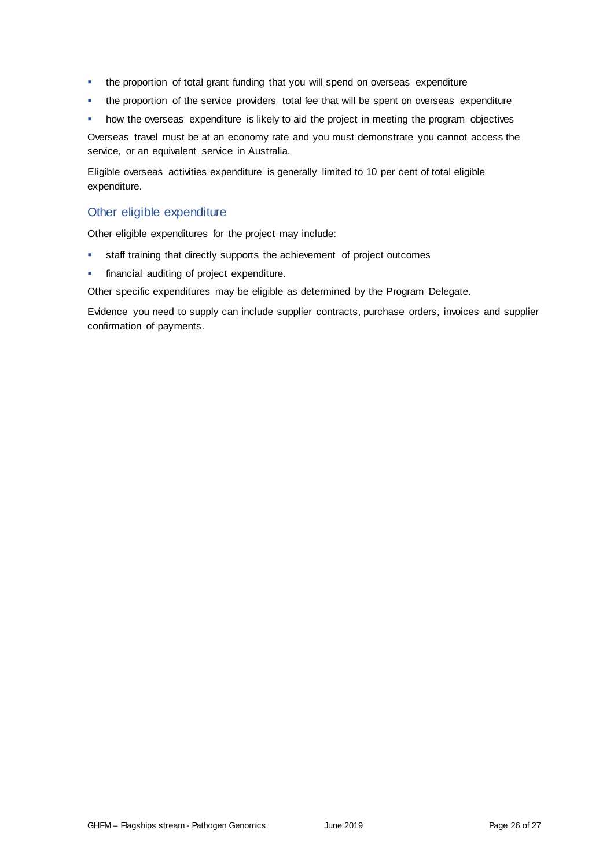- the proportion of total grant funding that you will spend on overseas expenditure
- the proportion of the service providers total fee that will be spent on overseas expenditure
- how the overseas expenditure is likely to aid the project in meeting the program objectives

Overseas travel must be at an economy rate and you must demonstrate you cannot access the service, or an equivalent service in Australia.

Eligible overseas activities expenditure is generally limited to 10 per cent of total eligible expenditure.

### Other eligible expenditure

Other eligible expenditures for the project may include:

- staff training that directly supports the achievement of project outcomes
- **financial auditing of project expenditure.**

Other specific expenditures may be eligible as determined by the Program Delegate.

Evidence you need to supply can include supplier contracts, purchase orders, invoices and supplier confirmation of payments.